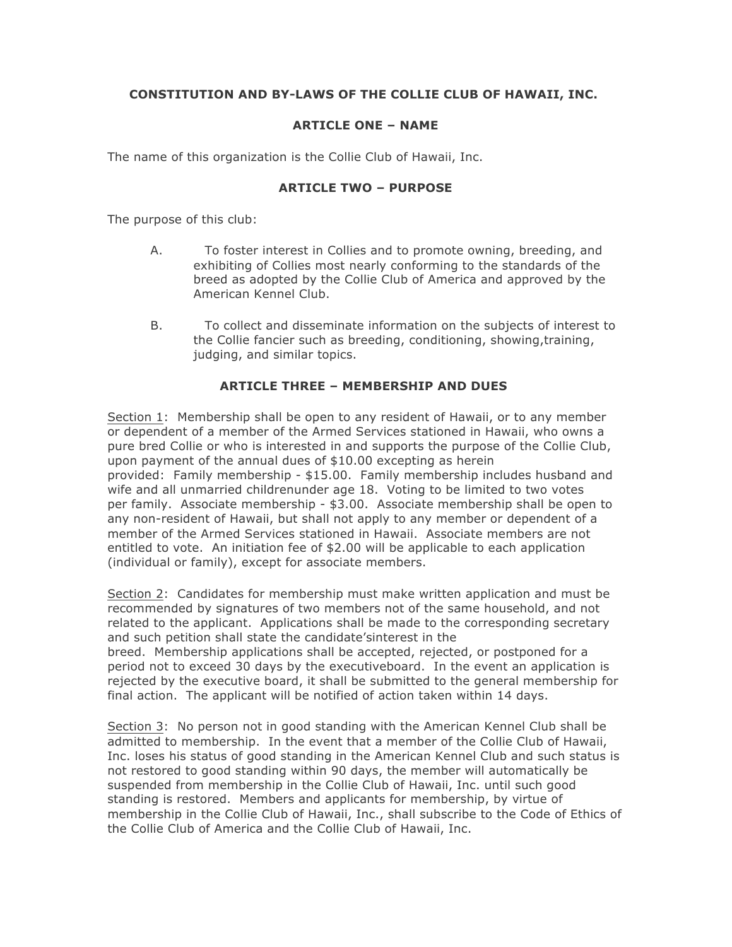## **CONSTITUTION AND BY-LAWS OF THE COLLIE CLUB OF HAWAII, INC.**

## **ARTICLE ONE – NAME**

The name of this organization is the Collie Club of Hawaii, Inc.

#### **ARTICLE TWO – PURPOSE**

The purpose of this club:

- A. To foster interest in Collies and to promote owning, breeding, and exhibiting of Collies most nearly conforming to the standards of the breed as adopted by the Collie Club of America and approved by the American Kennel Club.
- B. To collect and disseminate information on the subjects of interest to the Collie fancier such as breeding, conditioning, showing,training, judging, and similar topics.

## **ARTICLE THREE – MEMBERSHIP AND DUES**

Section 1: Membership shall be open to any resident of Hawaii, or to any member or dependent of a member of the Armed Services stationed in Hawaii, who owns a pure bred Collie or who is interested in and supports the purpose of the Collie Club, upon payment of the annual dues of \$10.00 excepting as herein provided: Family membership - \$15.00. Family membership includes husband and wife and all unmarried childrenunder age 18. Voting to be limited to two votes per family. Associate membership - \$3.00. Associate membership shall be open to any non-resident of Hawaii, but shall not apply to any member or dependent of a member of the Armed Services stationed in Hawaii. Associate members are not entitled to vote. An initiation fee of \$2.00 will be applicable to each application (individual or family), except for associate members.

Section 2: Candidates for membership must make written application and must be recommended by signatures of two members not of the same household, and not related to the applicant. Applications shall be made to the corresponding secretary and such petition shall state the candidate'sinterest in the

breed. Membership applications shall be accepted, rejected, or postponed for a period not to exceed 30 days by the executiveboard. In the event an application is rejected by the executive board, it shall be submitted to the general membership for final action. The applicant will be notified of action taken within 14 days.

Section 3: No person not in good standing with the American Kennel Club shall be admitted to membership. In the event that a member of the Collie Club of Hawaii, Inc. loses his status of good standing in the American Kennel Club and such status is not restored to good standing within 90 days, the member will automatically be suspended from membership in the Collie Club of Hawaii, Inc. until such good standing is restored. Members and applicants for membership, by virtue of membership in the Collie Club of Hawaii, Inc., shall subscribe to the Code of Ethics of the Collie Club of America and the Collie Club of Hawaii, Inc.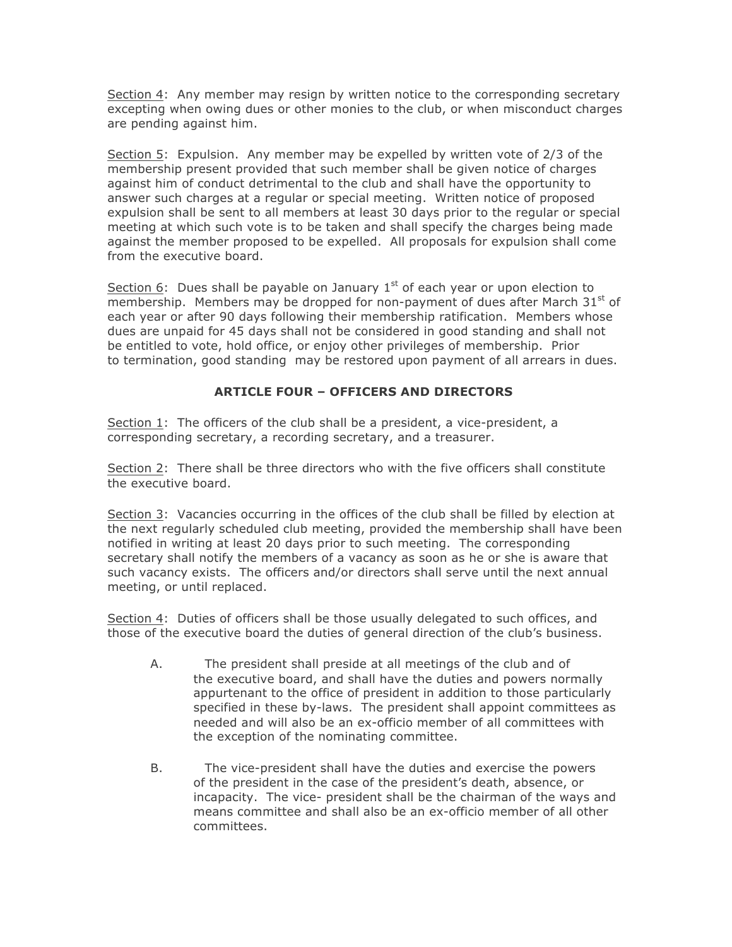Section 4: Any member may resign by written notice to the corresponding secretary excepting when owing dues or other monies to the club, or when misconduct charges are pending against him.

Section 5: Expulsion. Any member may be expelled by written vote of 2/3 of the membership present provided that such member shall be given notice of charges against him of conduct detrimental to the club and shall have the opportunity to answer such charges at a regular or special meeting. Written notice of proposed expulsion shall be sent to all members at least 30 days prior to the regular or special meeting at which such vote is to be taken and shall specify the charges being made against the member proposed to be expelled. All proposals for expulsion shall come from the executive board.

Section 6: Dues shall be payable on January  $1<sup>st</sup>$  of each year or upon election to membership. Members may be dropped for non-payment of dues after March  $31^{st}$  of each year or after 90 days following their membership ratification. Members whose dues are unpaid for 45 days shall not be considered in good standing and shall not be entitled to vote, hold office, or enjoy other privileges of membership. Prior to termination, good standing may be restored upon payment of all arrears in dues.

## **ARTICLE FOUR – OFFICERS AND DIRECTORS**

Section 1: The officers of the club shall be a president, a vice-president, a corresponding secretary, a recording secretary, and a treasurer.

Section 2: There shall be three directors who with the five officers shall constitute the executive board.

Section 3: Vacancies occurring in the offices of the club shall be filled by election at the next regularly scheduled club meeting, provided the membership shall have been notified in writing at least 20 days prior to such meeting. The corresponding secretary shall notify the members of a vacancy as soon as he or she is aware that such vacancy exists. The officers and/or directors shall serve until the next annual meeting, or until replaced.

Section 4: Duties of officers shall be those usually delegated to such offices, and those of the executive board the duties of general direction of the club's business.

- A. The president shall preside at all meetings of the club and of the executive board, and shall have the duties and powers normally appurtenant to the office of president in addition to those particularly specified in these by-laws. The president shall appoint committees as needed and will also be an ex-officio member of all committees with the exception of the nominating committee.
- B. The vice-president shall have the duties and exercise the powers of the president in the case of the president's death, absence, or incapacity. The vice- president shall be the chairman of the ways and means committee and shall also be an ex-officio member of all other committees.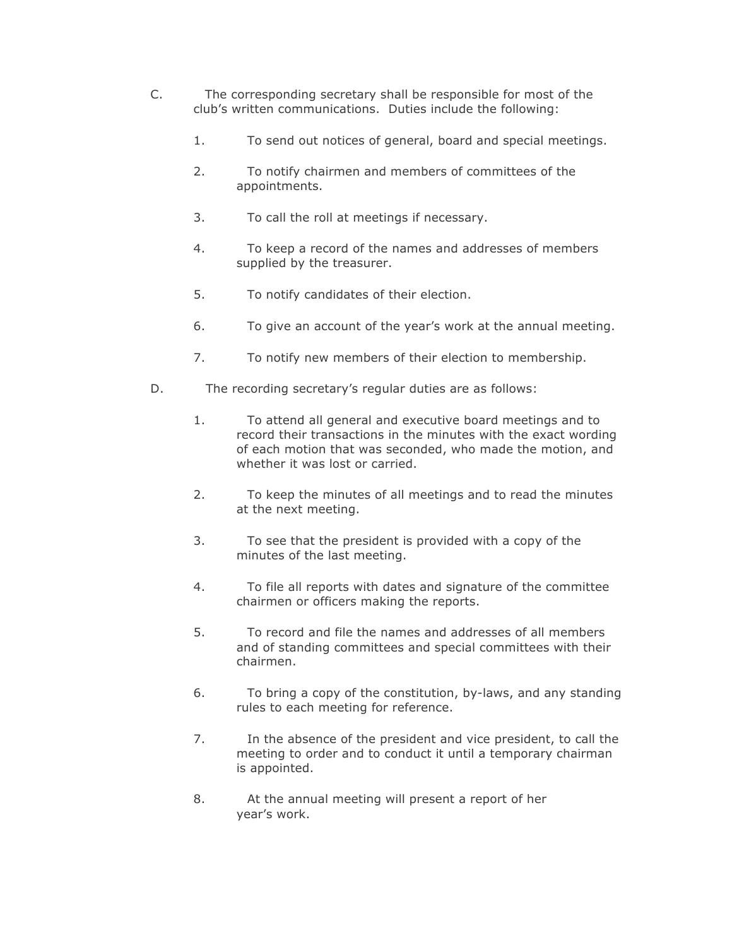- C. The corresponding secretary shall be responsible for most of the club's written communications. Duties include the following:
	- 1. To send out notices of general, board and special meetings.
	- 2. To notify chairmen and members of committees of the appointments.
	- 3. To call the roll at meetings if necessary.
	- 4. To keep a record of the names and addresses of members supplied by the treasurer.
	- 5. To notify candidates of their election.
	- 6. To give an account of the year's work at the annual meeting.
	- 7. To notify new members of their election to membership.
- D. The recording secretary's regular duties are as follows:
	- 1. To attend all general and executive board meetings and to record their transactions in the minutes with the exact wording of each motion that was seconded, who made the motion, and whether it was lost or carried.
	- 2. To keep the minutes of all meetings and to read the minutes at the next meeting.
	- 3. To see that the president is provided with a copy of the minutes of the last meeting.
	- 4. To file all reports with dates and signature of the committee chairmen or officers making the reports.
	- 5. To record and file the names and addresses of all members and of standing committees and special committees with their chairmen.
	- 6. To bring a copy of the constitution, by-laws, and any standing rules to each meeting for reference.
	- 7. In the absence of the president and vice president, to call the meeting to order and to conduct it until a temporary chairman is appointed.
	- 8. At the annual meeting will present a report of her year's work.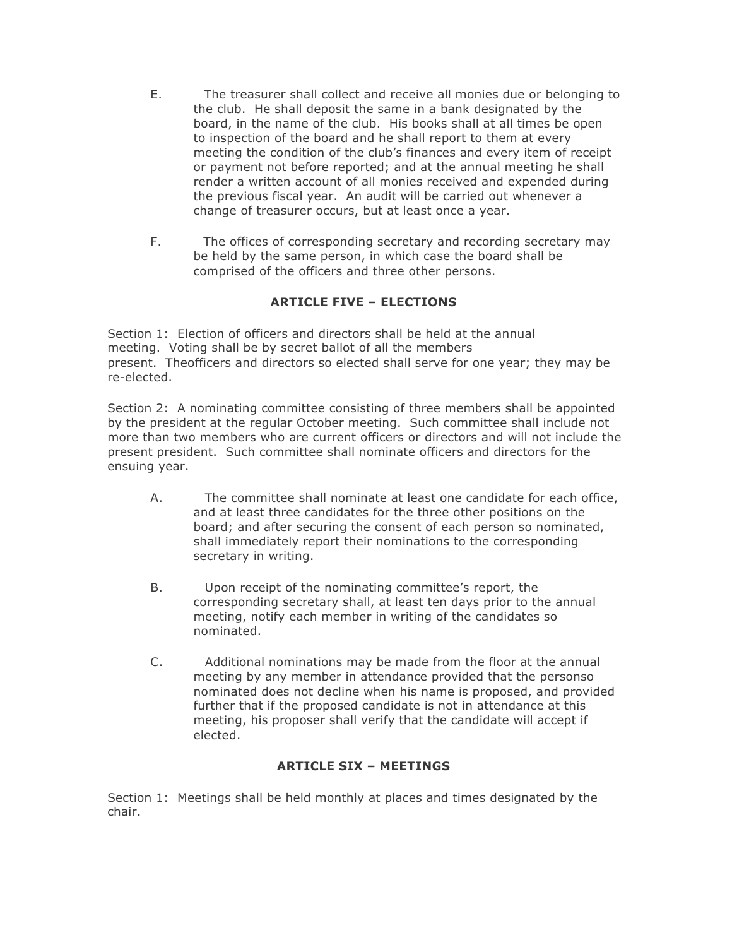- E. The treasurer shall collect and receive all monies due or belonging to the club. He shall deposit the same in a bank designated by the board, in the name of the club. His books shall at all times be open to inspection of the board and he shall report to them at every meeting the condition of the club's finances and every item of receipt or payment not before reported; and at the annual meeting he shall render a written account of all monies received and expended during the previous fiscal year. An audit will be carried out whenever a change of treasurer occurs, but at least once a year.
- F. The offices of corresponding secretary and recording secretary may be held by the same person, in which case the board shall be comprised of the officers and three other persons.

# **ARTICLE FIVE – ELECTIONS**

Section 1: Election of officers and directors shall be held at the annual meeting. Voting shall be by secret ballot of all the members present. Theofficers and directors so elected shall serve for one year; they may be re-elected.

Section 2: A nominating committee consisting of three members shall be appointed by the president at the regular October meeting. Such committee shall include not more than two members who are current officers or directors and will not include the present president. Such committee shall nominate officers and directors for the ensuing year.

- A. The committee shall nominate at least one candidate for each office, and at least three candidates for the three other positions on the board; and after securing the consent of each person so nominated, shall immediately report their nominations to the corresponding secretary in writing.
- B. Upon receipt of the nominating committee's report, the corresponding secretary shall, at least ten days prior to the annual meeting, notify each member in writing of the candidates so nominated.
- C. Additional nominations may be made from the floor at the annual meeting by any member in attendance provided that the personso nominated does not decline when his name is proposed, and provided further that if the proposed candidate is not in attendance at this meeting, his proposer shall verify that the candidate will accept if elected.

## **ARTICLE SIX – MEETINGS**

Section 1: Meetings shall be held monthly at places and times designated by the chair.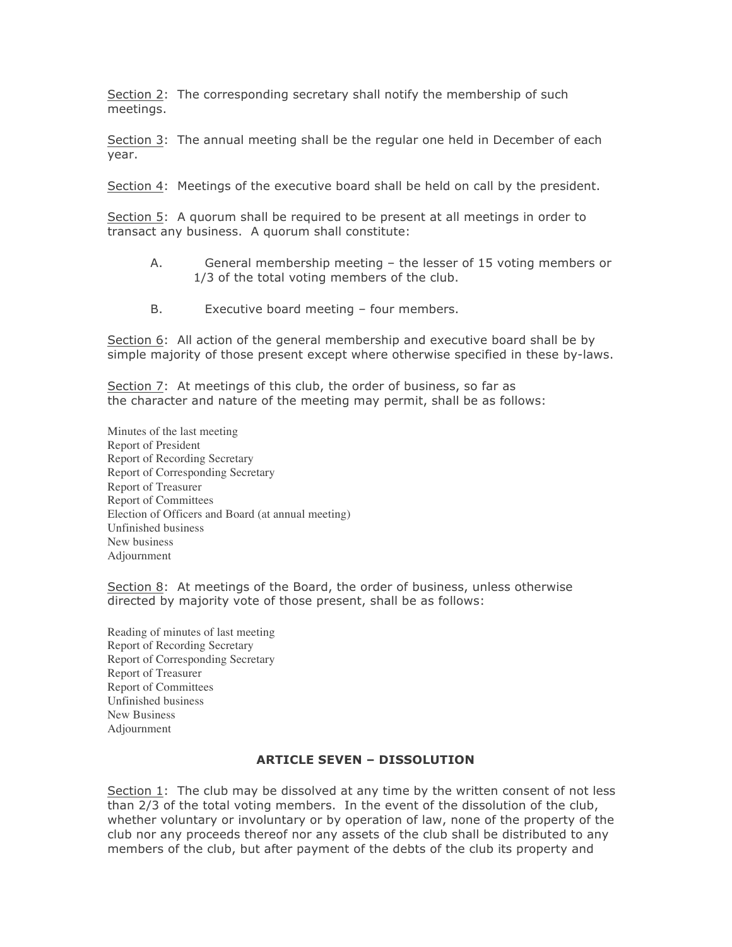Section 2: The corresponding secretary shall notify the membership of such meetings.

Section 3: The annual meeting shall be the regular one held in December of each year.

Section 4: Meetings of the executive board shall be held on call by the president.

Section 5: A quorum shall be required to be present at all meetings in order to transact any business. A quorum shall constitute:

- A. General membership meeting the lesser of 15 voting members or 1/3 of the total voting members of the club.
- B. Executive board meeting four members.

Section 6: All action of the general membership and executive board shall be by simple majority of those present except where otherwise specified in these by-laws.

Section 7: At meetings of this club, the order of business, so far as the character and nature of the meeting may permit, shall be as follows:

Minutes of the last meeting Report of President Report of Recording Secretary Report of Corresponding Secretary Report of Treasurer Report of Committees Election of Officers and Board (at annual meeting) Unfinished business New business Adjournment

Section 8: At meetings of the Board, the order of business, unless otherwise directed by majority vote of those present, shall be as follows:

Reading of minutes of last meeting Report of Recording Secretary Report of Corresponding Secretary Report of Treasurer Report of Committees Unfinished business New Business Adjournment

#### **ARTICLE SEVEN – DISSOLUTION**

Section 1: The club may be dissolved at any time by the written consent of not less than 2/3 of the total voting members. In the event of the dissolution of the club, whether voluntary or involuntary or by operation of law, none of the property of the club nor any proceeds thereof nor any assets of the club shall be distributed to any members of the club, but after payment of the debts of the club its property and